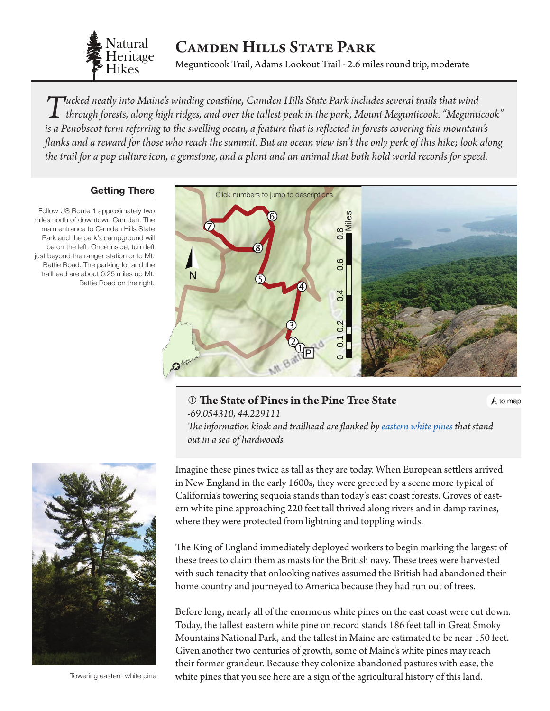

# Camden Hills State Park

Megunticook Trail, Adams Lookout Trail - 2.6 miles round trip, moderate

Tucked neatly into Maine's winding coastline, Camden Hills State Park includes several trails that wind<br>through forests, along high ridges, and over the tallest peak in the park, Mount Megunticook. "Megunticook"<br>is a Pangh *is a Penobscot term referring to the swelling ocean, a feature that is reflected in forests covering this mountain's flanks and a reward for those who reach the summit. But an ocean view isn't the only perk of this hike; look along the trail for a pop culture icon, a gemstone, and a plant and an animal that both hold world records for speed.*

#### **Getting There**

Follow US Route 1 approximately two miles north of downtown Camden. The main entrance to Camden Hills State Park and the park's campground will be on the left. Once inside, turn left just beyond the ranger station onto Mt. Battie Road. The parking lot and the trailhead are about 0.25 miles up Mt. Battie Road on the right.

<span id="page-0-0"></span>

### **The State of Pines in the Pine Tree State**

 $\Lambda$  to map

*-69.054310, 44.229111 The information kiosk and trailhead are flanked by [eastern white pines](http://dendro.cnre.vt.edu/dendrology/syllabus/factsheet.cfm?ID=111) that stand out in a sea of hardwoods.*



Towering eastern white pine

Imagine these pines twice as tall as they are today. When European settlers arrived in New England in the early 1600s, they were greeted by a scene more typical of California's towering sequoia stands than today's east coast forests. Groves of eastern white pine approaching 220 feet tall thrived along rivers and in damp ravines, where they were protected from lightning and toppling winds.

The King of England immediately deployed workers to begin marking the largest of these trees to claim them as masts for the British navy. These trees were harvested with such tenacity that onlooking natives assumed the British had abandoned their home country and journeyed to America because they had run out of trees.

Before long, nearly all of the enormous white pines on the east coast were cut down. Today, the tallest eastern white pine on record stands 186 feet tall in Great Smoky Mountains National Park, and the tallest in Maine are estimated to be near 150 feet. Given another two centuries of growth, some of Maine's white pines may reach their former grandeur. Because they colonize abandoned pastures with ease, the white pines that you see here are a sign of the agricultural history of this land.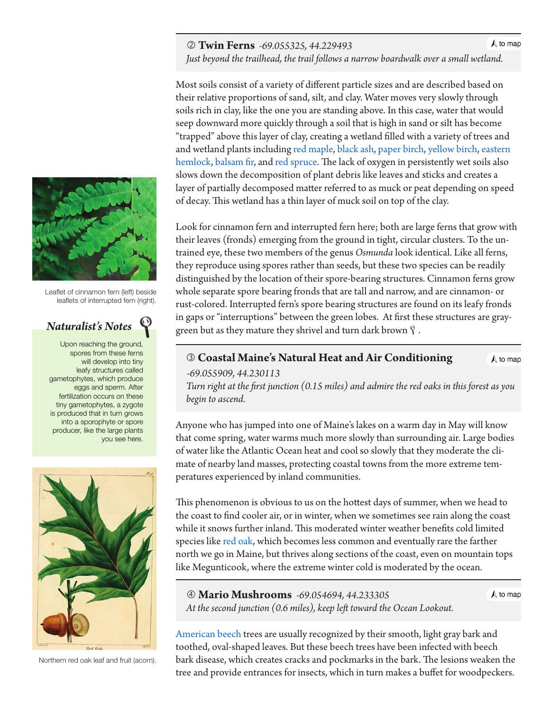#### **Twin Ferns** *-69.055325, 44.229493*

 $\Lambda$  to map

 *Just beyond the trailhead, the trail follows a narrow boardwalk over a small [wetland.](#page-0-0)*

Most soils consist of a variety of different particle sizes and are described based on their relative proportions of sand, silt, and clay. Water moves very slowly through soils rich in clay, like the one you are standing above. In this case, water that would seep downward more quickly through a soil that is high in sand or silt has become "trapped" above this layer of clay, creating a wetland filled with a variety of trees and and wetland plants including [red maple,](http://dendro.cnre.vt.edu/dendrology/syllabus/factsheet.cfm?ID=1) [black ash](http://dendro.cnre.vt.edu/dendrology/syllabus/factsheet.cfm?ID=173), [paper birch,](http://dendro.cnre.vt.edu/dendrology/syllabus/factsheet.cfm?ID=14) [yellow birch](http://dendro.cnre.vt.edu/dendrology/syllabus/factsheet.cfm?ID=12), [eastern](http://dendro.cnre.vt.edu/dendrology/syllabus/factsheet.cfm?ID=116)  [hemlock,](http://dendro.cnre.vt.edu/dendrology/syllabus/factsheet.cfm?ID=116) [balsam fir,](http://dendro.cnre.vt.edu/dendrology/syllabus/factsheet.cfm?ID=119) and [red spruce.](http://dendro.cnre.vt.edu/dendrology/syllabus/factsheet.cfm?ID=137) The lack of oxygen in persistently wet soils also slows down the decomposition of plant debris like leaves and sticks and creates a layer of partially decomposed matter referred to as muck or peat depending on speed of decay. This wetland has a thin layer of muck soil on top of the clay.

Look for cinnamon fern and interrupted fern here; both are large ferns that grow with their leaves (fronds) emerging from the ground in tight, circular clusters. To the untrained eye, these two members of the genus *Osmunda* look identical. Like all ferns, they reproduce using spores rather than seeds, but these two species can be readily distinguished by the location of their spore-bearing structures. Cinnamon ferns grow whole separate spore bearing fronds that are tall and narrow, and are cinnamon- or rust-colored. Interrupted fern's spore bearing structures are found on its leafy fronds in gaps or "interruptions" between the green lobes. At first these structures are graygreen but as they mature they shrivel and turn dark brown  $\mathcal{P}$  .

## **Coastal Maine's Natural Heat and Air Conditioning** *-69.055909, 44.230113*

 *Turn right at the first junction (0.15 miles) and admire the red oaks in this forest as you begin to ascend.*

Anyone who has jumped into one of Maine's lakes on a warm day in May will know that come spring, water warms much more slowly than surrounding air. Large bodies of water like the Atlantic Ocean heat and cool so slowly that they moderate the climate of nearby land masses, protecting coastal towns from the more extreme temperatures experienced by inland communities.

This phenomenon is obvious to us on the hottest days of summer, when we head to the coast to find cooler air, or in winter, when we sometimes see rain along the coast while it snows further inland. This moderated winter weather benefits cold limited species like [red oak,](http://dendro.cnre.vt.edu/dendrology/syllabus/factsheet.cfm?ID=38) which becomes less common and eventually rare the farther north we go in Maine, but thrives along sections of the coast, even on mountain tops like Megunticook, where the extreme winter cold is moderated by the ocean.

 **Mario Mushrooms** *-69.054694, 44.233305 At the second junction (0.6 miles), keep left toward the Ocean Lookout.*  $\bigwedge$  to map

 $\bigwedge$  to map

[American beech](http://dendro.cnre.vt.edu/dendrology/syllabus/factsheet.cfm?ID=47) trees are usually recognized by their smooth, light gray bark and toothed, oval-shaped leaves. But these beech trees have been infected with beech bark disease, which creates cracks and pockmarks in the bark. The lesions weaken the tree and provide entrances for insects, which in turn makes a buffet for woodpeckers.



Leaflet of cinnamon fern (left) beside leaflets of interrupted fern (right).

## *Naturalist's Notes*

Upon reaching the ground, spores from these ferns will develop into tiny leafy structures called gametophytes, which produce eggs and sperm. After fertilization occurs on these tiny gametophytes, a zygote is produced that in turn grows into a sporophyte or spore producer, like the large plants you see here.



Red Oak

Northern red oak leaf and fruit (acorn).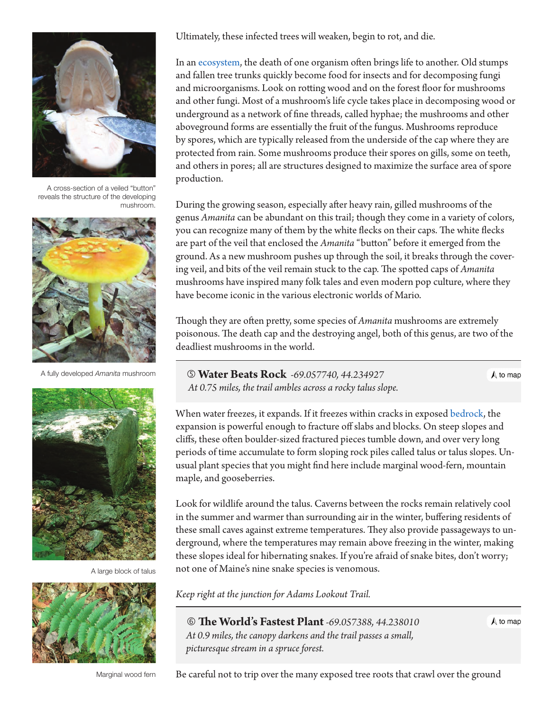

A cross-section of a veiled "button" reveals the structure of the developing mushroom.



A fully developed *Amanita* mushroom



A large block of talus



Marginal wood fern

Ultimately, these infected trees will weaken, begin to rot, and die.

In an [ecosystem](#page-4-0), the death of one organism often brings life to another. Old stumps and fallen tree trunks quickly become food for insects and for decomposing fungi and microorganisms. Look on rotting wood and on the forest floor for mushrooms and other fungi. Most of a mushroom's life cycle takes place in decomposing wood or underground as a network of fine threads, called hyphae; the mushrooms and other aboveground forms are essentially the fruit of the fungus. Mushrooms reproduce by spores, which are typically released from the underside of the cap where they are protected from rain. Some mushrooms produce their spores on gills, some on teeth, and others in pores; all are structures designed to maximize the surface area of spore production.

During the growing season, especially after heavy rain, gilled mushrooms of the genus *Amanita* can be abundant on this trail; though they come in a variety of colors, you can recognize many of them by the white flecks on their caps. The white flecks are part of the veil that enclosed the *Amanita* "button" before it emerged from the ground. As a new mushroom pushes up through the soil, it breaks through the covering veil, and bits of the veil remain stuck to the cap. The spotted caps of *Amanita* mushrooms have inspired many folk tales and even modern pop culture, where they have become iconic in the various electronic worlds of Mario.

Though they are often pretty, some species of *Amanita* mushrooms are extremely poisonous. The death cap and the destroying angel, both of this genus, are two of the deadliest mushrooms in the world.

 **Water Beats Rock** *-69.057740, 44.234927 At 0.75 miles, the trail ambles across a rocky talus slope.*  $\bigwedge$  to map

When water freezes, it expands. If it freezes within cracks in exposed [bedrock](#page-4-0), the expansion is powerful enough to fracture off slabs and blocks. On steep slopes and cliffs, these often boulder-sized fractured pieces tumble down, and over very long periods of time accumulate to form sloping rock piles called talus or talus slopes. Unusual plant species that you might find here include marginal wood-fern, mountain maple, and gooseberries.

Look for wildlife around the talus. Caverns between the rocks remain relatively cool in the summer and warmer than surrounding air in the winter, buffering residents of these small caves against extreme temperatures. They also provide passageways to underground, where the temperatures may remain above freezing in the winter, making these slopes ideal for hibernating snakes. If you're afraid of snake bites, don't worry; not one of Maine's nine snake species is venomous.

*Keep right at the junction for Adams Lookout Trail.*

 **The World's Fastest Plant** *-69.057388, 44.238010 At 0.9 miles, the canopy darkens and the trail passes a small, picturesque stream in a spruce forest.*

 $\bigwedge$  to map

Be careful not to trip over the many exposed tree roots that crawl over the ground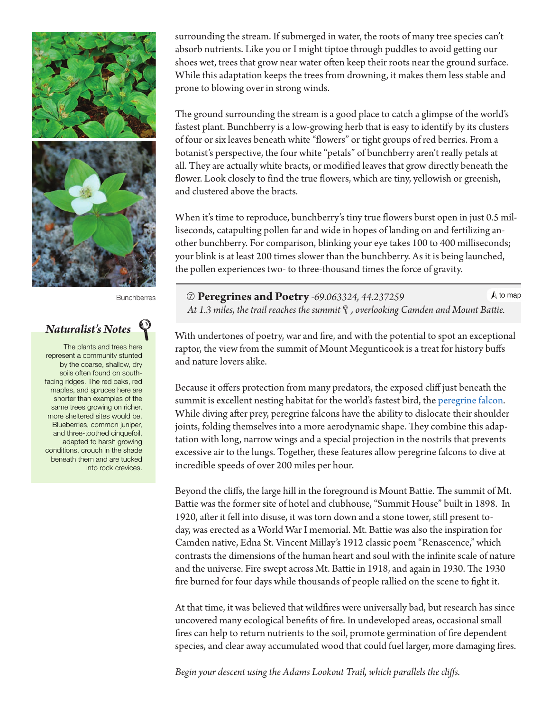

**Bunchberres** 

### *Naturalist's Notes*

The plants and trees here represent a community stunted by the coarse, shallow, dry soils often found on southfacing ridges. The red oaks, red maples, and spruces here are shorter than examples of the same trees growing on richer, more sheltered sites would be. Blueberries, common juniper, and three-toothed cinquefoil, adapted to harsh growing conditions, crouch in the shade beneath them and are tucked into rock crevices.

surrounding the stream. If submerged in water, the roots of many tree species can't absorb nutrients. Like you or I might tiptoe through puddles to avoid getting our shoes wet, trees that grow near water often keep their roots near the ground surface. While this adaptation keeps the trees from drowning, it makes them less stable and prone to blowing over in strong winds.

The ground surrounding the stream is a good place to catch a glimpse of the world's fastest plant. Bunchberry is a low-growing herb that is easy to identify by its clusters of four or six leaves beneath white "flowers" or tight groups of red berries. From a botanist's perspective, the four white "petals" of bunchberry aren't really petals at all. They are actually white bracts, or modified leaves that grow directly beneath the flower. Look closely to find the true flowers, which are tiny, yellowish or greenish, and clustered above the bracts.

When it's time to reproduce, bunchberry's tiny true flowers burst open in just 0.5 milliseconds, catapulting pollen far and wide in hopes of landing on and fertilizing another bunchberry. For comparison, blinking your eye takes 100 to 400 milliseconds; your blink is at least 200 times slower than the bunchberry. As it is being launched, the pollen experiences two- to three-thousand times the force of gravity.

 $\bigwedge$  to map **Peregrines and Poetry** *-69.063324, 44.237259 At 1.3 miles, the trail reaches the summit, overlooking Camden and Mou[nt Battie.](#page-0-0)*

With undertones of poetry, war and fire, and with the potential to spot an exceptional raptor, the view from the summit of Mount Megunticook is a treat for history buffs and nature lovers alike.

Because it offers protection from many predators, the exposed cliff just beneath the summit is excellent nesting habitat for the world's fastest bird, the [peregrine falcon](http://www.allaboutbirds.org/guide/Peregrine_Falcon/id). While diving after prey, peregrine falcons have the ability to dislocate their shoulder joints, folding themselves into a more aerodynamic shape. They combine this adaptation with long, narrow wings and a special projection in the nostrils that prevents excessive air to the lungs. Together, these features allow peregrine falcons to dive at incredible speeds of over 200 miles per hour.

Beyond the cliffs, the large hill in the foreground is Mount Battie. The summit of Mt. Battie was the former site of hotel and clubhouse, "Summit House" built in 1898. In 1920, after it fell into disuse, it was torn down and a stone tower, still present today, was erected as a World War I memorial. Mt. Battie was also the inspiration for Camden native, Edna St. Vincent Millay's 1912 classic poem "Renascence," which contrasts the dimensions of the human heart and soul with the infinite scale of nature and the universe. Fire swept across Mt. Battie in 1918, and again in 1930. The 1930 fire burned for four days while thousands of people rallied on the scene to fight it.

At that time, it was believed that wildfires were universally bad, but research has since uncovered many ecological benefits of fire. In undeveloped areas, occasional small fires can help to return nutrients to the soil, promote germination of fire dependent species, and clear away accumulated wood that could fuel larger, more damaging fires.

*Begin your descent using the Adams Lookout Trail, which parallels the cliffs.*